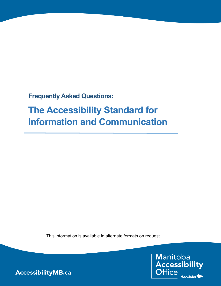**Frequently Asked Questions:** 

## **The Accessibility Standard for Information and Communication**

This information is available in alternate formats on request.

Manitoba Accessibility Manitoba<sup>5</sup>

AccessibilityMB.ca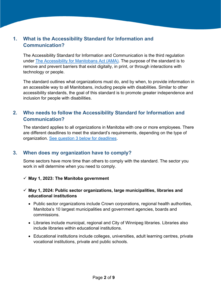## **1. What is the Accessibility Standard for Information and Communication?**

The Accessibility Standard for Information and Communication is the third regulation under [The Accessibility for Manitobans Act \(AMA\).](https://web2.gov.mb.ca/laws/statutes/ccsm/a001-7e.php) The purpose of the standard is to remove and prevent barriers that exist digitally, in print, or through interactions with technology or people.

The standard outlines what organizations must do, and by when, to provide information in an accessible way to all Manitobans, including people with disabilities. Similar to other accessibility standards, the goal of this standard is to promote greater independence and inclusion for people with disabilities.

## **2. Who needs to follow the Accessibility Standard for Information and Communication?**

The standard applies to all organizations in Manitoba with one or more employees. There are different deadlines to meet the standard's requirements, depending on the type of organization. [See question 3 below for deadlines.](#page-1-0)

#### <span id="page-1-0"></span>**3. When does my organization have to comply?**

Some sectors have more time than others to comply with the standard. The sector you work in will determine when you need to comply.

 $\checkmark$  May 1, 2023: The Manitoba government

#### **May 1, 2024: Public sector organizations, large municipalities, libraries and educational institutions**

- Public sector organizations include Crown corporations, regional health authorities, Manitoba's 10 largest municipalities and government agencies, boards and commissions.
- Libraries include municipal, regional and City of Winnipeg libraries. Libraries also include libraries within educational institutions.
- Educational institutions include colleges, universities, adult learning centres, private vocational institutions, private and public schools.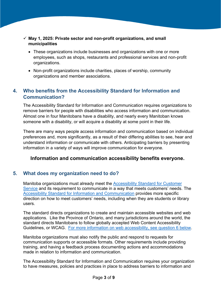- **May 1, 2025: Private sector and non-profit organizations, and small municipalities** 
	- These organizations include businesses and organizations with one or more employees, such as shops, restaurants and professional services and non-profit organizations.
	- Non-profit organizations include charities, places of worship, community organizations and member associations.

## **4. Who benefits from the Accessibility Standard for Information and Communication?**

The Accessibility Standard for Information and Communication requires organizations to remove barriers for people with disabilities who access information and communication. Almost one in four Manitobans have a disability, and nearly every Manitoban knows someone with a disability, or will acquire a disability at some point in their life.

There are many ways people access information and communication based on individual preferences and, more significantly, as a result of their differing abilities to see, hear and understand information or communicate with others. Anticipating barriers by presenting information in a variety of ways will improve communication for everyone.

#### **Information and communication accessibility benefits everyone.**

#### **5. What does my organization need to do?**

Manitoba organizations must already meet the [Accessibility Standard for Customer](https://accessibilitymb.ca/customer-service-standard.html)  [Service](https://accessibilitymb.ca/customer-service-standard.html) and its requirement to communicate in a way that meets customers' needs. The [Accessibility Standard for Information and Communication](https://accessibilitymb.ca/standard-for-info-and-comms.html) provides more specific direction on how to meet customers' needs, including when they are students or library users.

The standard directs organizations to create and maintain accessible websites and web applications. Like the Province of Ontario, and many jurisdictions around the world, the standard directs Manitobans to follow globally accepted Web Content Accessibility Guidelines, or WCAG. For more information [on web accessibility, see question 6 below.](#page-3-0)

Manitoba organizations must also notify the public and respond to requests for communication supports or accessible formats. Other requirements include providing training, and having a feedback process documenting actions and accommodations made in relation to information and communication.

The Accessibility Standard for Information and Communication requires your organization to have measures, policies and practices in place to address barriers to information and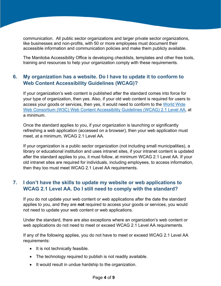communication. All public sector organizations and larger private sector organizations, like businesses and non-profits, with 50 or more employees must document their accessible information and communication policies and make them publicly available.

The Manitoba Accessibility Office is developing checklists, templates and other free tools, training and resources to help your organization comply with these requirements.

## <span id="page-3-0"></span>**6. My organization has a website. Do I have to update it to conform to Web Content Accessibility Guidelines (WCAG)?**

If your organization's web content is published after the standard comes into force for your type of organization, then yes. Also, if your old web content is required for users to access your goods or services, then yes, it would need to conform to the [World Wide](https://www.w3.org/TR/WCAG21/)  [Web Consortium \(W3C\) Web Content Accessibility Guidelines \(WCAG\) 2.1 Level AA,](https://www.w3.org/TR/WCAG21/) at a minimum.

Once the standard applies to you, if your organization is launching or significantly refreshing a web application (accessed on a browser), then your web application must meet, at a minimum, WCAG 2.1 Level AA.

If your organization is a public sector organization (not including small municipalities), a library or educational institution and uses intranet sites, if your intranet content is updated after the standard applies to you, it must follow, at minimum WCAG 2.1 Level AA. If your old intranet sites are required for individuals, including employees, to access information, then they too must meet WCAG 2.1 Level AA requirements.

## **7. I don't have the skills to update my website or web applications to WCAG 2.1 Level AA. Do I still need to comply with the standard?**

If you do not update your web content or web applications after the date the standard applies to you, and they are **not** required to access your goods or services, you would not need to update your web content or web applications.

Under the standard, there are also exceptions where an organization's web content or web applications do not need to meet or exceed WCAG 2.1 Level AA requirements.

If any of the following applies, you do not have to meet or exceed WCAG 2.1 Level AA requirements:

- It is not technically feasible.
- The technology required to publish is not readily available.
- It would result in undue hardship to the organization.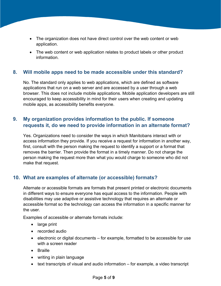- The organization does not have direct control over the web content or web application.
- The web content or web application relates to product labels or other product information.

#### **8. Will mobile apps need to be made accessible under this standard?**

No. The standard only applies to web applications, which are defined as software applications that run on a web server and are accessed by a user through a web browser. This does not include mobile applications. Mobile application developers are still encouraged to keep accessibility in mind for their users when creating and updating mobile apps, as accessibility benefits everyone.

## <span id="page-4-0"></span>**9. My organization provides information to the public. If someone requests it, do we need to provide information in an alternate format?**

Yes. Organizations need to consider the ways in which Manitobans interact with or access information they provide. If you receive a request for information in another way, first, consult with the person making the request to identify a support or a format that removes the barrier. Then provide the format in a timely manner. Do not charge the person making the request more than what you would charge to someone who did not make that request.

#### **10. What are examples of alternate (or accessible) formats?**

Alternate or accessible formats are formats that present printed or electronic documents in different ways to ensure everyone has equal access to the information. People with disabilities may use adaptive or assistive technology that requires an alternate or accessible format so the technology can access the information in a specific manner for the user.

Examples of accessible or alternate formats include:

- large print
- recorded audio
- electronic or digital documents for example, formatted to be accessible for use with a screen reader
- Braille
- writing in plain language
- text transcripts of visual and audio information for example, a video transcript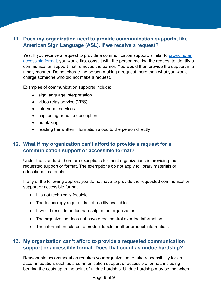## **11. Does my organization need to provide communication supports, like American Sign Language (ASL), if we receive a request?**

Yes. If you receive a request to provide a communication support, similar to [providing an](#page-4-0)  [accessible format,](#page-4-0) you would first consult with the person making the request to identify a communication support that removes the barrier. You would then provide the support in a timely manner. Do not charge the person making a request more than what you would charge someone who did not make a request.

Examples of communication supports include:

- sign language interpretation
- video relay service (VRS)
- intervenor services
- captioning or audio description
- notetaking
- reading the written information aloud to the person directly

## **12. What if my organization can't afford to provide a request for a communication support or accessible format?**

Under the standard, there are exceptions for most organizations in providing the requested support or format. The exemptions do not apply to library materials or educational materials.

If any of the following applies, you do not have to provide the requested communication support or accessible format:

- It is not technically feasible.
- The technology required is not readily available.
- It would result in undue hardship to the organization.
- The organization does not have direct control over the information.
- The information relates to product labels or other product information.

## **13. My organization can't afford to provide a requested communication support or accessible format. Does that count as undue hardship?**

Reasonable accommodation requires your organization to take responsibility for an accommodation, such as a communication support or accessible format, including bearing the costs up to the point of undue hardship. Undue hardship may be met when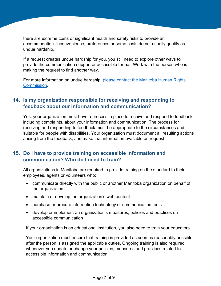there are extreme costs or significant health and safety risks to provide an accommodation. Inconvenience, preferences or some costs do not usually qualify as undue hardship.

If a request creates undue hardship for you, you still need to explore other ways to provide the communication support or accessible format. Work with the person who is making the request to find another way.

For more information on undue hardship, [please contact the Manitoba Human Rights](https://manitobahumanrights.ca/v1/)  [Commission.](https://manitobahumanrights.ca/v1/)

### **14. Is my organization responsible for receiving and responding to feedback about our information and communication?**

Yes, your organization must have a process in place to receive and respond to feedback, including complaints, about your information and communication. The process for receiving and responding to feedback must be appropriate to the circumstances and suitable for people with disabilities. Your organization must document all resulting actions arising from the feedback, and make that information available on request.

## **15. Do I have to provide training on accessible information and communication? Who do I need to train?**

All organizations in Manitoba are required to provide training on the standard to their employees, agents or volunteers who:

- communicate directly with the public or another Manitoba organization on behalf of the organization
- maintain or develop the organization's web content
- purchase or procure information technology or communication tools
- develop or implement an organization's measures, policies and practices on accessible communication

If your organization is an educational institution, you also need to train your educators.

Your organization must ensure that training is provided as soon as reasonably possible after the person is assigned the applicable duties. Ongoing training is also required whenever you update or change your policies, measures and practices related to accessible information and communication.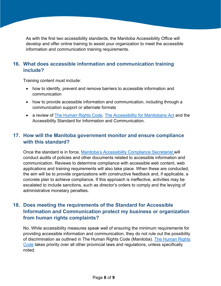As with the first two accessibility standards, the Manitoba Accessibility Office will develop and offer online training to assist your organization to meet the accessible information and communication training requirements.

## **16. What does accessible information and communication training include?**

Training content must include:

- how to identify, prevent and remove barriers to accessible information and communication
- how to provide accessible information and communication, including through a communication support or alternate formats
- a review of [The Human Rights Code,](https://web2.gov.mb.ca/laws/statutes/ccsm/h175e.php) [The Accessibility for Manitobans Act](https://accessibilitymb.ca/law.html) and the Accessibility Standard for Information and Communication.

## **17. How will the Manitoba government monitor and ensure compliance with this standard?**

Once the standard is in force, [Manitoba's Accessibility Compliance Secretariat](https://www.gov.mb.ca/fs/accessibilitycomp/index.html) will conduct audits of policies and other documents related to accessible information and communication. Reviews to determine compliance with accessible web content, web applications and training requirements will also take place. When these are conducted, the aim will be to provide organizations with constructive feedback and, if applicable, a concrete plan to achieve compliance. If this approach is ineffective, activities may be escalated to include sanctions, such as director's orders to comply and the levying of administrative monetary penalties.

## **18. Does meeting the requirements of the Standard for Accessible Information and Communication protect my business or organization from human rights complaints?**

No. While accessibility measures speak well of ensuring the minimum requirements for providing accessible information and communication, they do not rule out the possibility of discrimination as outlined in The Human Rights Code (Manitoba). [The Human Rights](https://web2.gov.mb.ca/laws/statutes/ccsm/h175e.php)  [Code](https://web2.gov.mb.ca/laws/statutes/ccsm/h175e.php) takes priority over all other provincial laws and regulations, unless specifically noted.